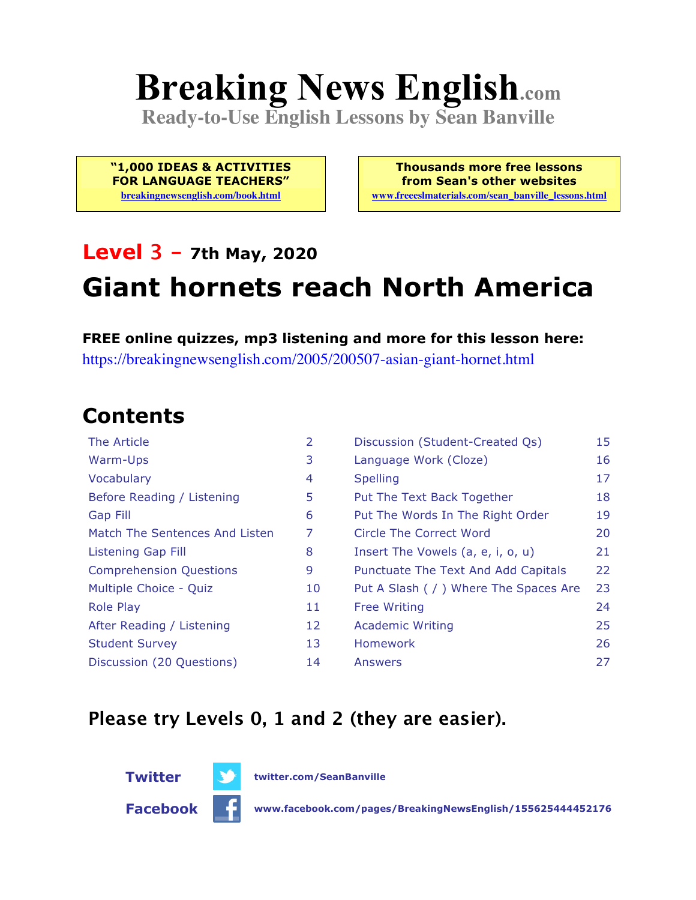# **Breaking News English.com**

**Ready-to-Use English Lessons by Sean Banville**

**"1,000 IDEAS & ACTIVITIES FOR LANGUAGE TEACHERS"**

**breakingnewsenglish.com/book.html**

**Thousands more free lessons from Sean's other websites www.freeeslmaterials.com/sean\_banville\_lessons.html**

#### **Level 3 - 7th May, 2020**

## **Giant hornets reach North America**

**FREE online quizzes, mp3 listening and more for this lesson here:** https://breakingnewsenglish.com/2005/200507-asian-giant-hornet.html

#### **Contents**

| The Article                    | $\overline{2}$ | Discussion (Student-Created Qs)        | 15 |
|--------------------------------|----------------|----------------------------------------|----|
| Warm-Ups                       | 3              | Language Work (Cloze)                  | 16 |
| Vocabulary                     | 4              | <b>Spelling</b>                        | 17 |
| Before Reading / Listening     | 5              | Put The Text Back Together             | 18 |
| <b>Gap Fill</b>                | 6              | Put The Words In The Right Order       | 19 |
| Match The Sentences And Listen | 7              | Circle The Correct Word                | 20 |
| Listening Gap Fill             | 8              | Insert The Vowels (a, e, i, o, u)      | 21 |
| <b>Comprehension Questions</b> | 9              | Punctuate The Text And Add Capitals    | 22 |
| Multiple Choice - Quiz         | 10             | Put A Slash ( / ) Where The Spaces Are | 23 |
| <b>Role Play</b>               | 11             | <b>Free Writing</b>                    | 24 |
| After Reading / Listening      | 12             | <b>Academic Writing</b>                | 25 |
| <b>Student Survey</b>          | 13             | <b>Homework</b>                        | 26 |
| Discussion (20 Questions)      | 14             | Answers                                | 27 |

#### **Please try Levels 0, 1 and 2 (they are easier).**



**Twitter twitter.com/SeanBanville**

**Facebook www.facebook.com/pages/BreakingNewsEnglish/155625444452176**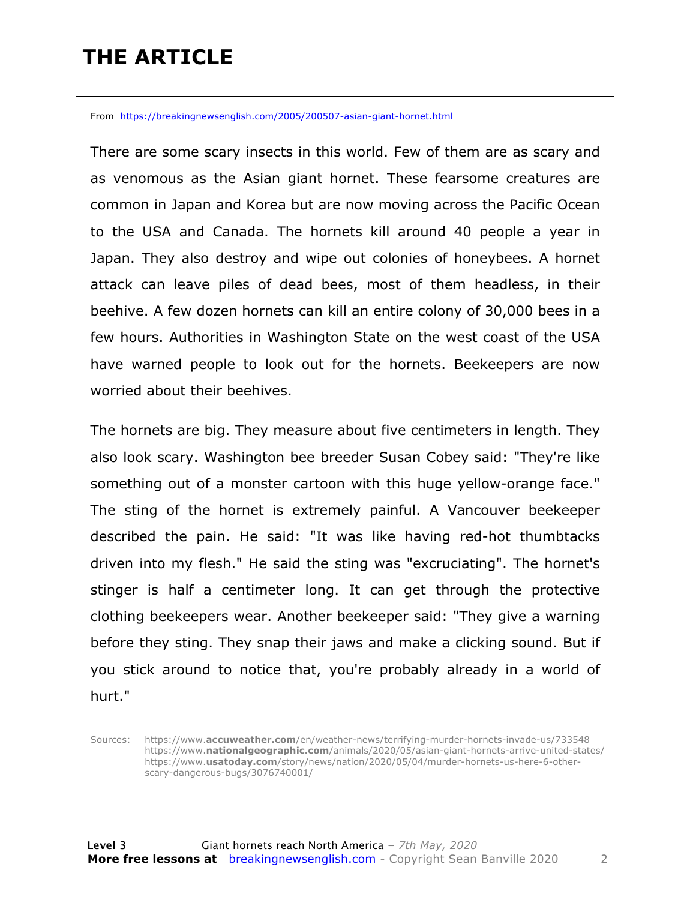### **THE ARTICLE**

From https://breakingnewsenglish.com/2005/200507-asian-giant-hornet.html

There are some scary insects in this world. Few of them are as scary and as venomous as the Asian giant hornet. These fearsome creatures are common in Japan and Korea but are now moving across the Pacific Ocean to the USA and Canada. The hornets kill around 40 people a year in Japan. They also destroy and wipe out colonies of honeybees. A hornet attack can leave piles of dead bees, most of them headless, in their beehive. A few dozen hornets can kill an entire colony of 30,000 bees in a few hours. Authorities in Washington State on the west coast of the USA have warned people to look out for the hornets. Beekeepers are now worried about their beehives.

The hornets are big. They measure about five centimeters in length. They also look scary. Washington bee breeder Susan Cobey said: "They're like something out of a monster cartoon with this huge yellow-orange face." The sting of the hornet is extremely painful. A Vancouver beekeeper described the pain. He said: "It was like having red-hot thumbtacks driven into my flesh." He said the sting was "excruciating". The hornet's stinger is half a centimeter long. It can get through the protective clothing beekeepers wear. Another beekeeper said: "They give a warning before they sting. They snap their jaws and make a clicking sound. But if you stick around to notice that, you're probably already in a world of hurt."

Sources: https://www.**accuweather.com**/en/weather-news/terrifying-murder-hornets-invade-us/733548 https://www.**nationalgeographic.com**/animals/2020/05/asian-giant-hornets-arrive-united-states/ https://www.**usatoday.com**/story/news/nation/2020/05/04/murder-hornets-us-here-6-otherscary-dangerous-bugs/3076740001/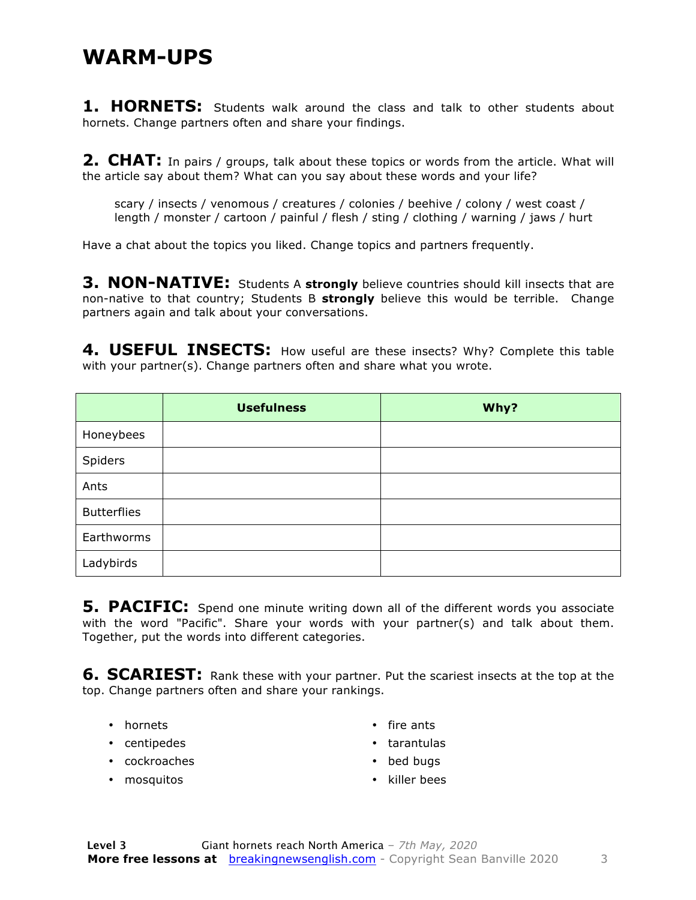#### **WARM-UPS**

**1. HORNETS:** Students walk around the class and talk to other students about hornets. Change partners often and share your findings.

**2. CHAT:** In pairs / groups, talk about these topics or words from the article. What will the article say about them? What can you say about these words and your life?

scary / insects / venomous / creatures / colonies / beehive / colony / west coast / length / monster / cartoon / painful / flesh / sting / clothing / warning / jaws / hurt

Have a chat about the topics you liked. Change topics and partners frequently.

**3. NON-NATIVE:** Students A **strongly** believe countries should kill insects that are non-native to that country; Students B **strongly** believe this would be terrible. Change partners again and talk about your conversations.

4. USEFUL INSECTS: How useful are these insects? Why? Complete this table with your partner(s). Change partners often and share what you wrote.

|                    | <b>Usefulness</b> | Why? |
|--------------------|-------------------|------|
| Honeybees          |                   |      |
| Spiders            |                   |      |
| Ants               |                   |      |
| <b>Butterflies</b> |                   |      |
| Earthworms         |                   |      |
| Ladybirds          |                   |      |

**5. PACIFIC:** Spend one minute writing down all of the different words you associate with the word "Pacific". Share your words with your partner(s) and talk about them. Together, put the words into different categories.

**6. SCARIEST:** Rank these with your partner. Put the scariest insects at the top at the top. Change partners often and share your rankings.

- hornets
- centipedes
- cockroaches
- mosquitos
- fire ants
- tarantulas
- bed bugs
- killer bees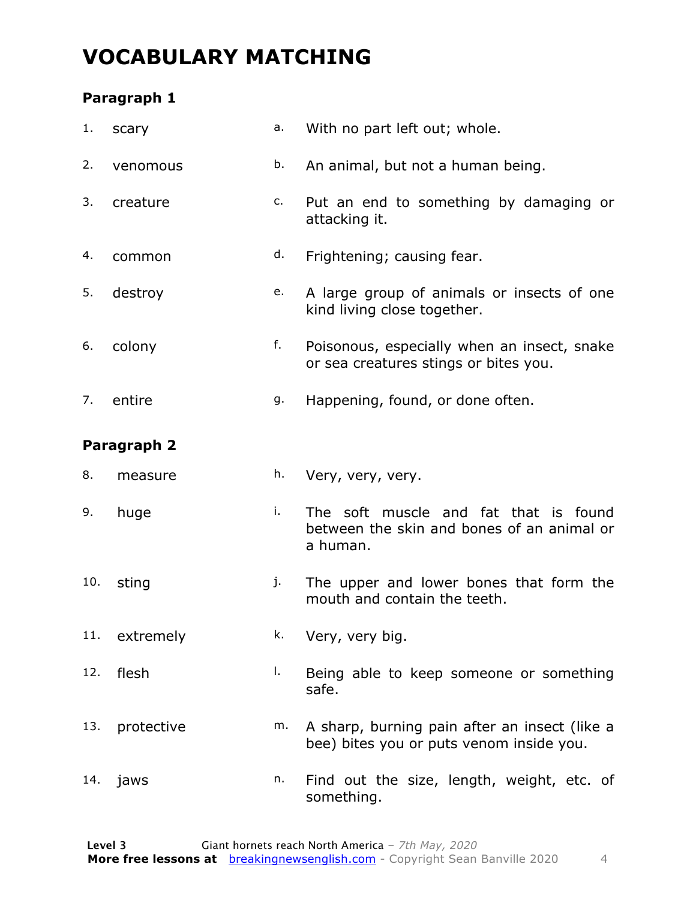### **VOCABULARY MATCHING**

#### **Paragraph 1**

| 1.  | scary       | а. | With no part left out; whole.                                                                   |
|-----|-------------|----|-------------------------------------------------------------------------------------------------|
| 2.  | venomous    | b. | An animal, but not a human being.                                                               |
| 3.  | creature    | c. | Put an end to something by damaging or<br>attacking it.                                         |
| 4.  | common      | d. | Frightening; causing fear.                                                                      |
| 5.  | destroy     | e. | A large group of animals or insects of one<br>kind living close together.                       |
| 6.  | colony      | f. | Poisonous, especially when an insect, snake<br>or sea creatures stings or bites you.            |
| 7.  | entire      | g. | Happening, found, or done often.                                                                |
|     | Paragraph 2 |    |                                                                                                 |
| 8.  | measure     | h. | Very, very, very.                                                                               |
|     |             |    |                                                                                                 |
| 9.  | huge        | i. | The soft muscle and fat that is found<br>between the skin and bones of an animal or<br>a human. |
| 10. | sting       | j. | The upper and lower bones that form the<br>mouth and contain the teeth.                         |
| 11. | extremely   | k. | Very, very big.                                                                                 |
| 12. | flesh       | Ι. | Being able to keep someone or something<br>safe.                                                |
| 13. | protective  | m. | A sharp, burning pain after an insect (like a<br>bee) bites you or puts venom inside you.       |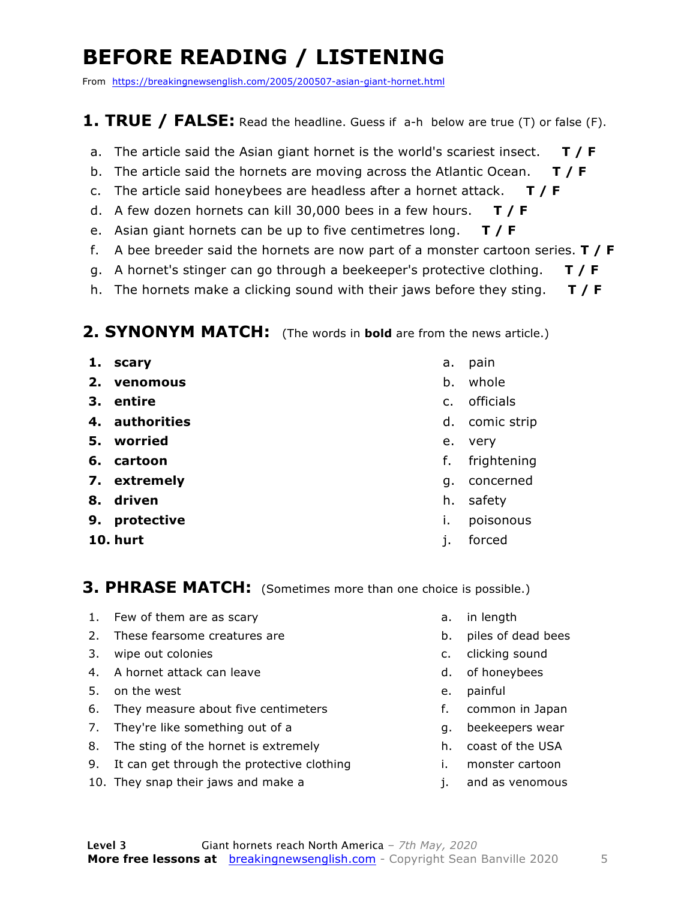### **BEFORE READING / LISTENING**

From https://breakingnewsenglish.com/2005/200507-asian-giant-hornet.html

#### **1. TRUE / FALSE:** Read the headline. Guess if a-h below are true (T) or false (F).

- a. The article said the Asian giant hornet is the world's scariest insect. **T / F**
- b. The article said the hornets are moving across the Atlantic Ocean. **T / F**
- c. The article said honeybees are headless after a hornet attack. **T / F**
- d. A few dozen hornets can kill 30,000 bees in a few hours. **T / F**
- e. Asian giant hornets can be up to five centimetres long. **T / F**
- f. A bee breeder said the hornets are now part of a monster cartoon series. **T / F**
- g. A hornet's stinger can go through a beekeeper's protective clothing. **T / F**
- h. The hornets make a clicking sound with their jaws before they sting. **T / F**

#### **2. SYNONYM MATCH:** (The words in **bold** are from the news article.)

- **1. scary**
- **2. venomous**
- **3. entire**
- **4. authorities**
- **5. worried**
- **6. cartoon**
- **7. extremely**
- **8. driven**
- **9. protective**
- **10. hurt**
- a. pain
- b. whole
- c. officials
- d. comic strip
- e. very
- f. frightening
- g. concerned
- h. safety
- i. poisonous
- j. forced

#### **3. PHRASE MATCH:** (Sometimes more than one choice is possible.)

- 1. Few of them are as scary
- 2. These fearsome creatures are
- 3. wipe out colonies
- 4. A hornet attack can leave
- 5. on the west
- 6. They measure about five centimeters
- 7. They're like something out of a
- 8. The sting of the hornet is extremely
- 9. It can get through the protective clothing
- 10. They snap their jaws and make a
- a. in length
- b. piles of dead bees
- c. clicking sound
- d. of honeybees
- e. painful
- f. common in Japan
- g. beekeepers wear
- h. coast of the USA
- i. monster cartoon
- j. and as venomous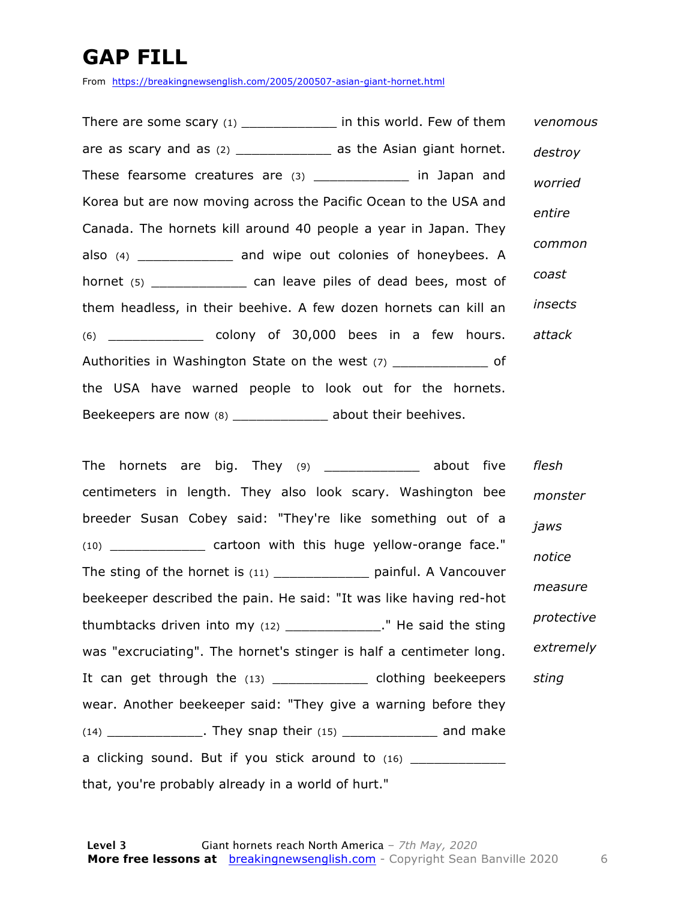### **GAP FILL**

From https://breakingnewsenglish.com/2005/200507-asian-giant-hornet.html

There are some scary (1) \_\_\_\_\_\_\_\_\_\_\_\_ in this world. Few of them are as scary and as  $(2)$  \_\_\_\_\_\_\_\_\_\_\_\_\_\_\_\_ as the Asian giant hornet. These fearsome creatures are (3) \_\_\_\_\_\_\_\_\_\_\_\_\_ in Japan and Korea but are now moving across the Pacific Ocean to the USA and Canada. The hornets kill around 40 people a year in Japan. They also (4) \_\_\_\_\_\_\_\_\_\_\_\_ and wipe out colonies of honeybees. A hornet (5) can leave piles of dead bees, most of them headless, in their beehive. A few dozen hornets can kill an (6) \_\_\_\_\_\_\_\_\_\_\_\_ colony of 30,000 bees in a few hours. Authorities in Washington State on the west (7) \_\_\_\_\_\_\_\_\_\_\_\_\_\_\_ of the USA have warned people to look out for the hornets. Beekeepers are now (8) \_\_\_\_\_\_\_\_\_\_\_\_\_\_ about their beehives. *venomous destroy worried entire common coast insects attack*

The hornets are big. They (9) about five centimeters in length. They also look scary. Washington bee breeder Susan Cobey said: "They're like something out of a (10) **EXECUTE:** Cartoon with this huge yellow-orange face." The sting of the hornet is (11) \_\_\_\_\_\_\_\_\_\_\_\_\_\_\_\_ painful. A Vancouver beekeeper described the pain. He said: "It was like having red-hot thumbtacks driven into my (12) \_\_\_\_\_\_\_\_\_\_\_\_." He said the sting was "excruciating". The hornet's stinger is half a centimeter long. It can get through the (13) \_\_\_\_\_\_\_\_\_\_\_\_\_\_ clothing beekeepers wear. Another beekeeper said: "They give a warning before they  $(14)$  \_\_\_\_\_\_\_\_\_\_\_\_\_\_. They snap their  $(15)$  \_\_\_\_\_\_\_\_\_\_\_\_\_\_\_\_\_ and make a clicking sound. But if you stick around to (16) that, you're probably already in a world of hurt." *flesh monster jaws notice measure protective extremely sting*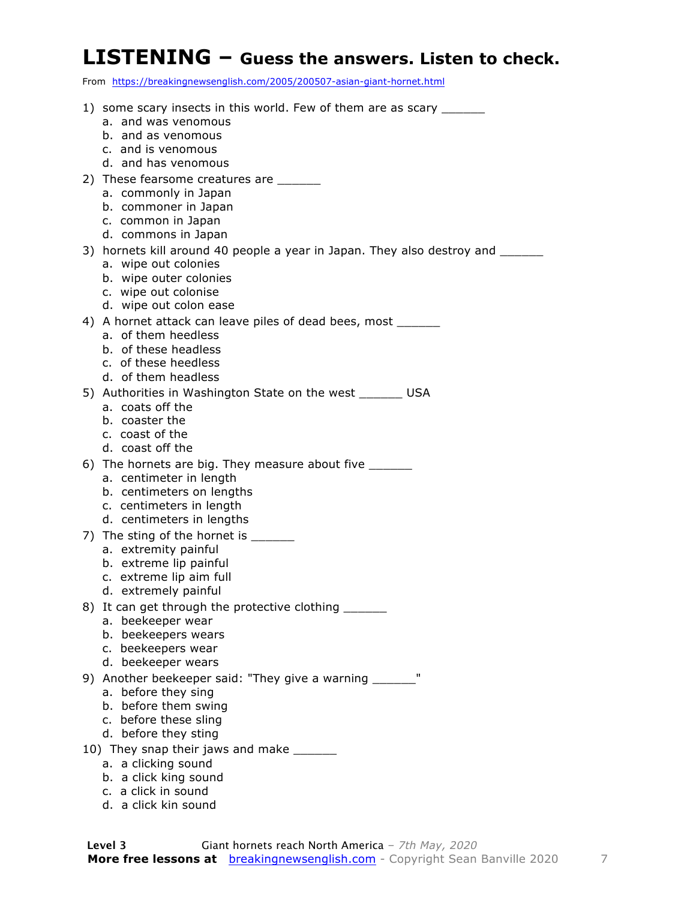#### **LISTENING – Guess the answers. Listen to check.**

From https://breakingnewsenglish.com/2005/200507-asian-giant-hornet.html

| 1) some scary insects in this world. Few of them are as scary _______<br>a. and was venomous<br>b. and as venomous<br>c. and is venomous                                            |
|-------------------------------------------------------------------------------------------------------------------------------------------------------------------------------------|
| d. and has venomous<br>2) These fearsome creatures are ______<br>a. commonly in Japan<br>b. commoner in Japan<br>c. common in Japan<br>d. commons in Japan                          |
| 3) hornets kill around 40 people a year in Japan. They also destroy and _______<br>a. wipe out colonies<br>b. wipe outer colonies<br>c. wipe out colonise<br>d. wipe out colon ease |
| 4) A hornet attack can leave piles of dead bees, most _______<br>a. of them heedless<br>b. of these headless<br>c. of these heedless<br>d. of them headless                         |
| 5) Authorities in Washington State on the west _______ USA<br>a. coats off the<br>b. coaster the<br>c. coast of the<br>d. coast off the                                             |
| 6) The hornets are big. They measure about five _______<br>a. centimeter in length<br>b. centimeters on lengths<br>c. centimeters in length<br>d. centimeters in lengths            |
| 7) The sting of the hornet is ______<br>a. extremity painful<br>b. extreme lip painful<br>c. extreme lip aim full<br>d. extremely painful                                           |
| 8) It can get through the protective clothing ______<br>a. beekeeper wear<br>b. beekeepers wears<br>c. beekeepers wear<br>d. beekeeper wears                                        |
| п<br>9) Another beekeeper said: "They give a warning _____<br>a. before they sing<br>b. before them swing<br>c. before these sling<br>d. before they sting                          |
| 10) They snap their jaws and make _____                                                                                                                                             |
| a. a clicking sound                                                                                                                                                                 |
| b. a click king sound<br>c. a click in sound                                                                                                                                        |
| d. a click kin sound                                                                                                                                                                |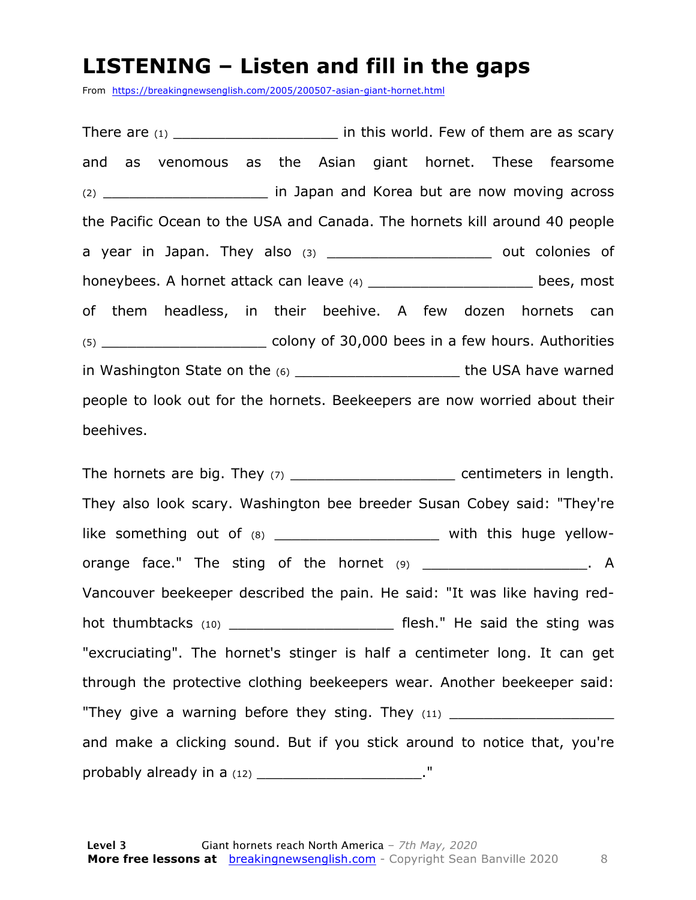#### **LISTENING – Listen and fill in the gaps**

From https://breakingnewsenglish.com/2005/200507-asian-giant-hornet.html

There are  $(1)$  \_\_\_\_\_\_\_\_\_\_\_\_\_\_\_\_\_\_\_\_\_\_\_\_\_\_\_\_\_ in this world. Few of them are as scary and as venomous as the Asian giant hornet. These fearsome (2) \_\_\_\_\_\_\_\_\_\_\_\_\_\_\_\_\_\_\_ in Japan and Korea but are now moving across the Pacific Ocean to the USA and Canada. The hornets kill around 40 people a year in Japan. They also  $(3)$  \_\_\_\_\_\_\_\_\_\_\_\_\_\_\_\_\_\_\_\_\_\_\_\_ out colonies of honeybees. A hornet attack can leave (4) \_\_\_\_\_\_\_\_\_\_\_\_\_\_\_\_\_\_\_\_\_\_\_\_ bees, most of them headless, in their beehive. A few dozen hornets can (5) \_\_\_\_\_\_\_\_\_\_\_\_\_\_\_\_\_\_\_ colony of 30,000 bees in a few hours. Authorities in Washington State on the (6) \_\_\_\_\_\_\_\_\_\_\_\_\_\_\_\_\_\_\_ the USA have warned people to look out for the hornets. Beekeepers are now worried about their beehives.

The hornets are big. They (7) \_\_\_\_\_\_\_\_\_\_\_\_\_\_\_\_\_\_\_\_\_\_\_ centimeters in length. They also look scary. Washington bee breeder Susan Cobey said: "They're like something out of (8) \_\_\_\_\_\_\_\_\_\_\_\_\_\_\_\_\_\_\_\_\_\_ with this huge yelloworange face." The sting of the hornet (9) \_\_\_\_\_\_\_\_\_\_\_\_\_\_\_\_\_\_\_\_\_\_. A Vancouver beekeeper described the pain. He said: "It was like having redhot thumbtacks (10) \_\_\_\_\_\_\_\_\_\_\_\_\_\_\_\_\_\_\_\_\_\_\_\_\_\_\_ flesh." He said the sting was "excruciating". The hornet's stinger is half a centimeter long. It can get through the protective clothing beekeepers wear. Another beekeeper said: "They give a warning before they sting. They  $(11)$ and make a clicking sound. But if you stick around to notice that, you're probably already in a (12) \_\_\_\_\_\_\_\_\_\_\_\_\_\_\_\_\_\_\_\_\_\_\_."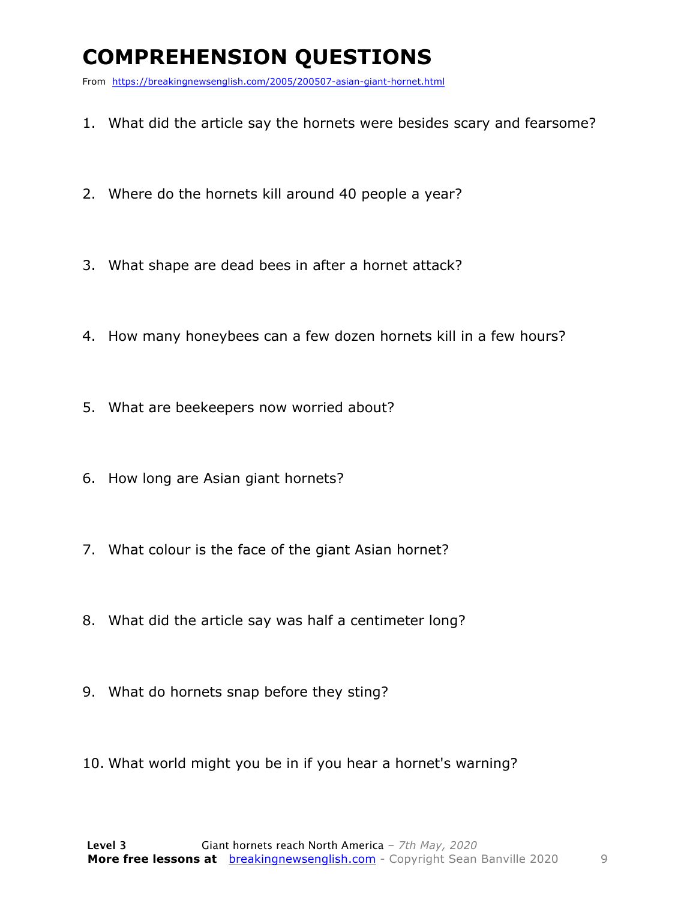### **COMPREHENSION QUESTIONS**

From https://breakingnewsenglish.com/2005/200507-asian-giant-hornet.html

- 1. What did the article say the hornets were besides scary and fearsome?
- 2. Where do the hornets kill around 40 people a year?
- 3. What shape are dead bees in after a hornet attack?
- 4. How many honeybees can a few dozen hornets kill in a few hours?
- 5. What are beekeepers now worried about?
- 6. How long are Asian giant hornets?
- 7. What colour is the face of the giant Asian hornet?
- 8. What did the article say was half a centimeter long?
- 9. What do hornets snap before they sting?
- 10. What world might you be in if you hear a hornet's warning?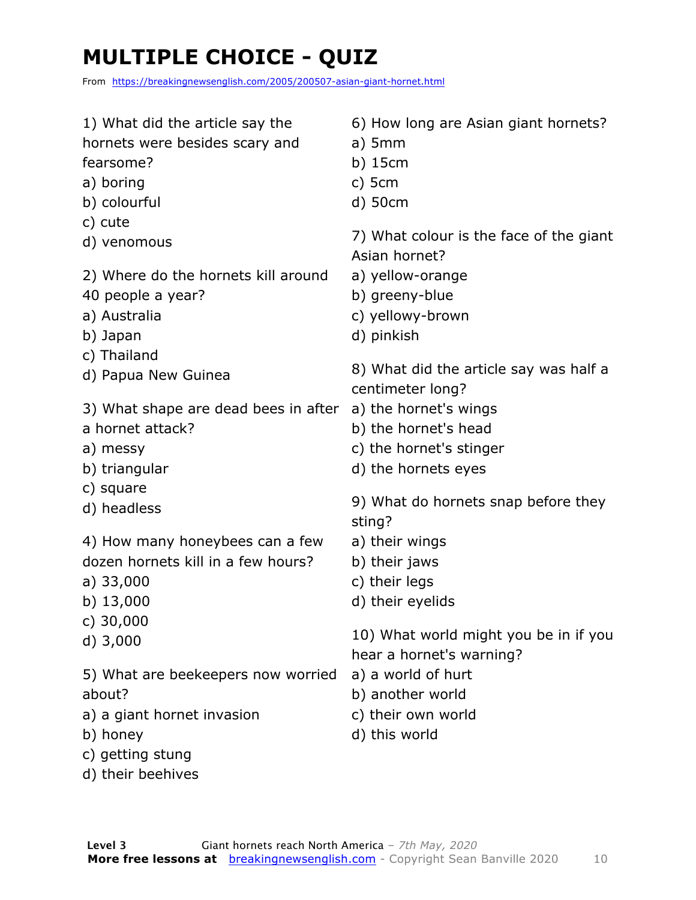### **MULTIPLE CHOICE - QUIZ**

From https://breakingnewsenglish.com/2005/200507-asian-giant-hornet.html

| 1) What did the article say the              | 6) How long are Asian giant hornets?                               |
|----------------------------------------------|--------------------------------------------------------------------|
| hornets were besides scary and               | $a)$ 5mm                                                           |
| fearsome?                                    | $b)$ 15 $cm$                                                       |
| a) boring                                    | $c)$ 5 $cm$                                                        |
| b) colourful                                 | d) 50cm                                                            |
| c) cute                                      | 7) What colour is the face of the giant                            |
| d) venomous                                  | Asian hornet?                                                      |
| 2) Where do the hornets kill around          | a) yellow-orange                                                   |
| 40 people a year?                            | b) greeny-blue                                                     |
| a) Australia                                 | c) yellowy-brown                                                   |
| b) Japan                                     | d) pinkish                                                         |
| c) Thailand                                  | 8) What did the article say was half a                             |
| d) Papua New Guinea                          | centimeter long?                                                   |
| 3) What shape are dead bees in after         | a) the hornet's wings                                              |
| a hornet attack?                             | b) the hornet's head                                               |
| a) messy                                     | c) the hornet's stinger                                            |
| b) triangular                                | d) the hornets eyes                                                |
| c) square                                    | 9) What do hornets snap before they                                |
| d) headless                                  | sting?                                                             |
| 4) How many honeybees can a few              | a) their wings                                                     |
| dozen hornets kill in a few hours?           | b) their jaws                                                      |
| a) $33,000$                                  | c) their legs                                                      |
| b) $13,000$                                  | d) their eyelids                                                   |
| c) $30,000$<br>$d)$ 3,000                    | 10) What world might you be in if you                              |
| 5) What are beekeepers now worried<br>about? | hear a hornet's warning?<br>a) a world of hurt<br>b) another world |
| a) a giant hornet invasion                   | c) their own world                                                 |
| b) honey                                     | d) this world                                                      |
| c) getting stung<br>d) their beehives        |                                                                    |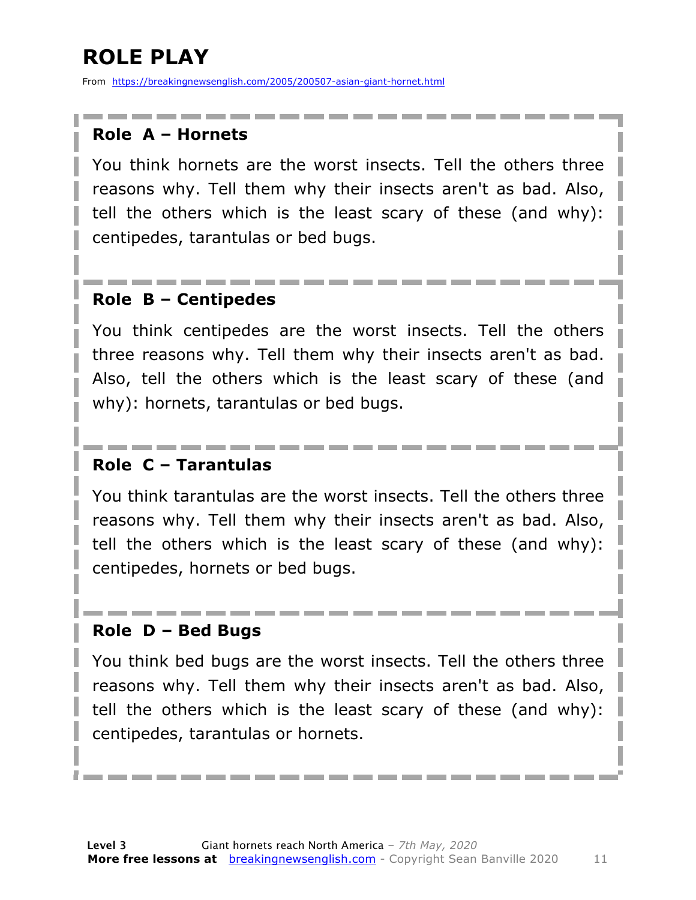### **ROLE PLAY**

From https://breakingnewsenglish.com/2005/200507-asian-giant-hornet.html

#### **Role A – Hornets**

You think hornets are the worst insects. Tell the others three reasons why. Tell them why their insects aren't as bad. Also, tell the others which is the least scary of these (and why): centipedes, tarantulas or bed bugs.

#### **Role B – Centipedes**

You think centipedes are the worst insects. Tell the others three reasons why. Tell them why their insects aren't as bad. Also, tell the others which is the least scary of these (and why): hornets, tarantulas or bed bugs.

#### **Role C – Tarantulas**

You think tarantulas are the worst insects. Tell the others three reasons why. Tell them why their insects aren't as bad. Also, tell the others which is the least scary of these (and why): centipedes, hornets or bed bugs.

#### **Role D – Bed Bugs**

You think bed bugs are the worst insects. Tell the others three reasons why. Tell them why their insects aren't as bad. Also, tell the others which is the least scary of these (and why): centipedes, tarantulas or hornets.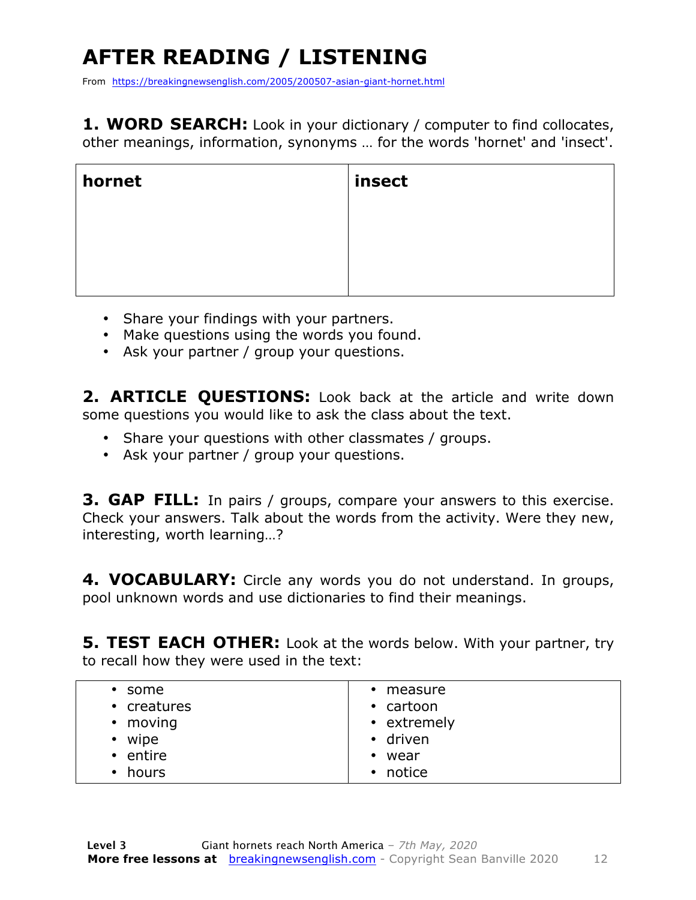### **AFTER READING / LISTENING**

From https://breakingnewsenglish.com/2005/200507-asian-giant-hornet.html

**1. WORD SEARCH:** Look in your dictionary / computer to find collocates, other meanings, information, synonyms … for the words 'hornet' and 'insect'.

| hornet | insect |
|--------|--------|
|        |        |
|        |        |
|        |        |

- Share your findings with your partners.
- Make questions using the words you found.
- Ask your partner / group your questions.

2. **ARTICLE OUESTIONS:** Look back at the article and write down some questions you would like to ask the class about the text.

- Share your questions with other classmates / groups.
- Ask your partner / group your questions.

**3. GAP FILL:** In pairs / groups, compare your answers to this exercise. Check your answers. Talk about the words from the activity. Were they new, interesting, worth learning…?

**4. VOCABULARY:** Circle any words you do not understand. In groups, pool unknown words and use dictionaries to find their meanings.

**5. TEST EACH OTHER:** Look at the words below. With your partner, try to recall how they were used in the text:

| $\cdot$ some       | • measure           |
|--------------------|---------------------|
| • creatures        | • cartoon           |
| $\cdot$ moving     | • extremely         |
| wipe<br>$\bullet$  | • driven            |
| • entire           | • wear              |
| hours<br>$\bullet$ | notice<br>$\bullet$ |
|                    |                     |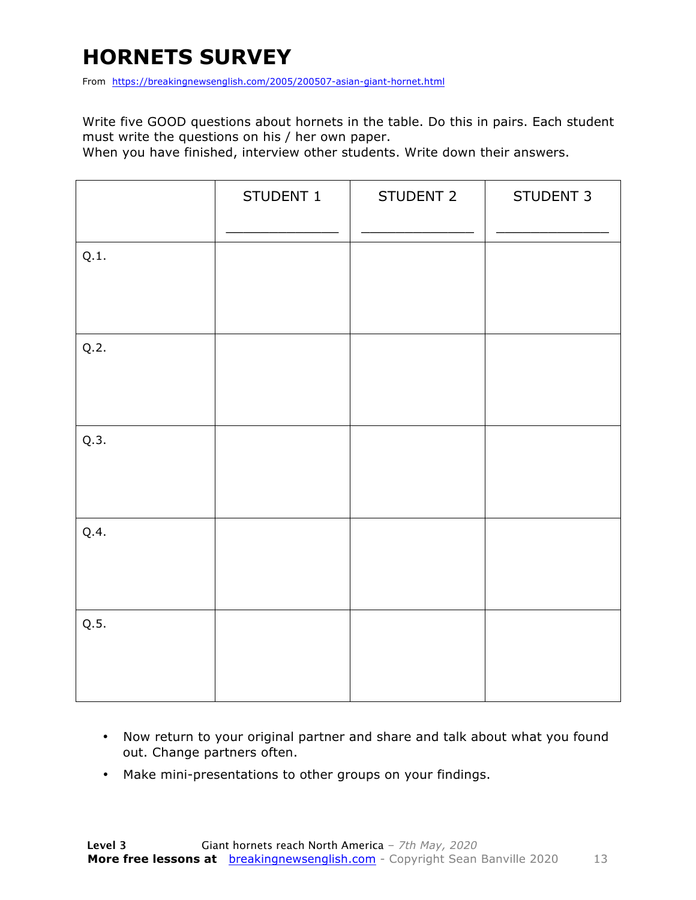### **HORNETS SURVEY**

From https://breakingnewsenglish.com/2005/200507-asian-giant-hornet.html

Write five GOOD questions about hornets in the table. Do this in pairs. Each student must write the questions on his / her own paper.

When you have finished, interview other students. Write down their answers.

|      | STUDENT 1 | STUDENT 2 | STUDENT 3 |
|------|-----------|-----------|-----------|
| Q.1. |           |           |           |
| Q.2. |           |           |           |
| Q.3. |           |           |           |
| Q.4. |           |           |           |
| Q.5. |           |           |           |

- Now return to your original partner and share and talk about what you found out. Change partners often.
- Make mini-presentations to other groups on your findings.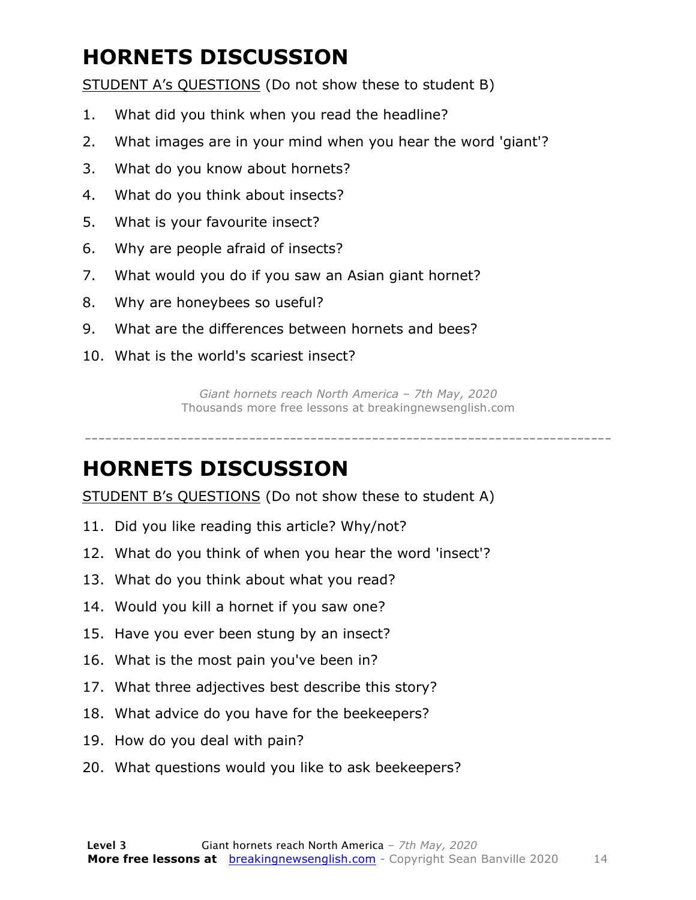### **HORNETS DISCUSSION**

STUDENT A's QUESTIONS (Do not show these to student B)

- 1. What did you think when you read the headline?
- 2. What images are in your mind when you hear the word 'giant'?
- 3. What do you know about hornets?
- 4. What do you think about insects?
- 5. What is your favourite insect?
- 6. Why are people afraid of insects?
- 7. What would you do if you saw an Asian giant hornet?
- 8. Why are honeybees so useful?
- 9. What are the differences between hornets and bees?
- 10. What is the world's scariest insect?

*Giant hornets reach North America – 7th May, 2020* Thousands more free lessons at breakingnewsenglish.com

-----------------------------------------------------------------------------

#### **HORNETS DISCUSSION**

STUDENT B's QUESTIONS (Do not show these to student A)

- 11. Did you like reading this article? Why/not?
- 12. What do you think of when you hear the word 'insect'?
- 13. What do you think about what you read?
- 14. Would you kill a hornet if you saw one?
- 15. Have you ever been stung by an insect?
- 16. What is the most pain you've been in?
- 17. What three adjectives best describe this story?
- 18. What advice do you have for the beekeepers?
- 19. How do you deal with pain?
- 20. What questions would you like to ask beekeepers?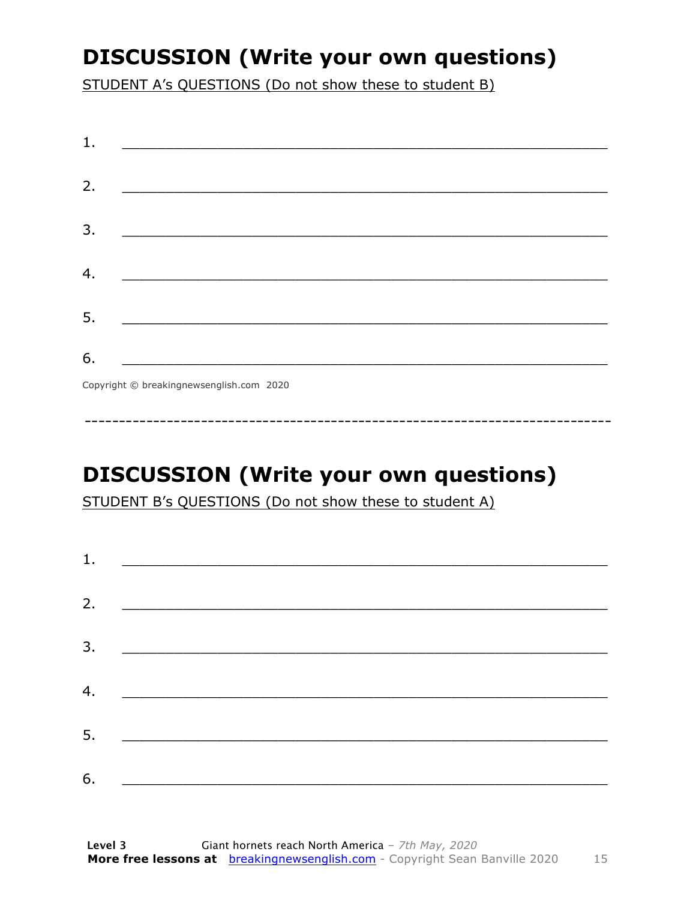### **DISCUSSION (Write your own questions)**

STUDENT A's QUESTIONS (Do not show these to student B)

| 1. |                                                                                                                          |
|----|--------------------------------------------------------------------------------------------------------------------------|
| 2. |                                                                                                                          |
|    | <u> 1989 - Johann John Stone, mars et al. (b. 1989)</u>                                                                  |
| 3. | <u> 1980 - Johann John Stone, mensk politik (d. 1980)</u>                                                                |
|    |                                                                                                                          |
| 4. |                                                                                                                          |
| 5. | <u> 1980 - Johann John Stone, markin fan it fjort fan it fjort fan it fjort fan it fjort fan it fjort fan it fjort f</u> |
|    |                                                                                                                          |
| 6. | <u> 1989 - Johann Barbara, martxa alemani</u> ar arte                                                                    |
|    | $Convriath \odot hraskinanawsanalich com 2020$                                                                           |

Copyright © breakingnewsenglish.com 2020

### **DISCUSSION (Write your own questions)**

STUDENT B's QUESTIONS (Do not show these to student A)

| 1. | <u> Alexandria de la contrada de la contrada de la contrada de la contrada de la contrada de la contrada de la c</u> |  |  |
|----|----------------------------------------------------------------------------------------------------------------------|--|--|
|    |                                                                                                                      |  |  |
| 2. |                                                                                                                      |  |  |
| 3. |                                                                                                                      |  |  |
| 4. |                                                                                                                      |  |  |
|    |                                                                                                                      |  |  |
| 5. |                                                                                                                      |  |  |
| 6. |                                                                                                                      |  |  |
|    |                                                                                                                      |  |  |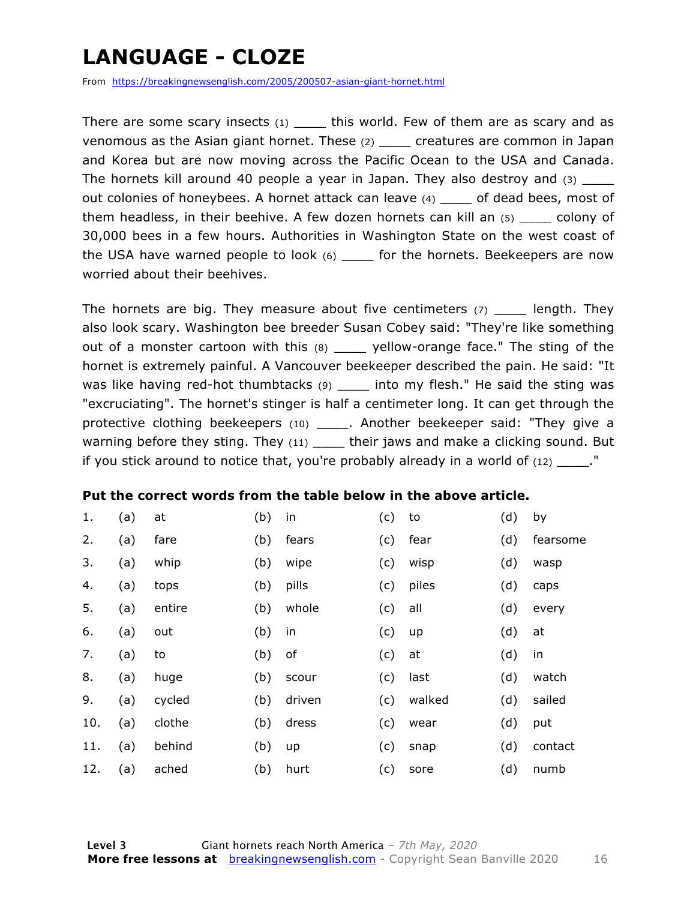### **LANGUAGE - CLOZE**

From https://breakingnewsenglish.com/2005/200507-asian-giant-hornet.html

There are some scary insects (1) \_\_\_\_\_ this world. Few of them are as scary and as venomous as the Asian giant hornet. These (2) \_\_\_\_ creatures are common in Japan and Korea but are now moving across the Pacific Ocean to the USA and Canada. The hornets kill around 40 people a year in Japan. They also destroy and (3) out colonies of honeybees. A hornet attack can leave (4) \_\_\_\_ of dead bees, most of them headless, in their beehive. A few dozen hornets can kill an  $(5)$  colony of 30,000 bees in a few hours. Authorities in Washington State on the west coast of the USA have warned people to look  $(6)$  \_\_\_\_ for the hornets. Beekeepers are now worried about their beehives.

The hornets are big. They measure about five centimeters  $(7)$  ength. They also look scary. Washington bee breeder Susan Cobey said: "They're like something out of a monster cartoon with this (8) \_\_\_\_ yellow-orange face." The sting of the hornet is extremely painful. A Vancouver beekeeper described the pain. He said: "It was like having red-hot thumbtacks (9) \_\_\_\_ into my flesh." He said the sting was "excruciating". The hornet's stinger is half a centimeter long. It can get through the protective clothing beekeepers (10) \_\_\_\_\_. Another beekeeper said: "They give a warning before they sting. They  $(11)$  \_\_\_\_ their jaws and make a clicking sound. But if you stick around to notice that, you're probably already in a world of (12) \_\_\_\_."

#### **Put the correct words from the table below in the above article.**

| 1.  | (a) | at     | (b) | in     | (c) | to     | (d) | by       |
|-----|-----|--------|-----|--------|-----|--------|-----|----------|
| 2.  | (a) | fare   | (b) | fears  | (c) | fear   | (d) | fearsome |
| 3.  | (a) | whip   | (b) | wipe   | (c) | wisp   | (d) | wasp     |
| 4.  | (a) | tops   | (b) | pills  | (c) | piles  | (d) | caps     |
| 5.  | (a) | entire | (b) | whole  | (c) | all    | (d) | every    |
| 6.  | (a) | out    | (b) | in     | (c) | up     | (d) | at       |
| 7.  | (a) | to     | (b) | оf     | (c) | at     | (d) | in       |
| 8.  | (a) | huge   | (b) | scour  | (c) | last   | (d) | watch    |
| 9.  | (a) | cycled | (b) | driven | (c) | walked | (d) | sailed   |
| 10. | (a) | clothe | (b) | dress  | (c) | wear   | (d) | put      |
| 11. | (a) | behind | (b) | up     | (c) | snap   | (d) | contact  |
| 12. | (a) | ached  | (b) | hurt   | (c) | sore   | (d) | numb     |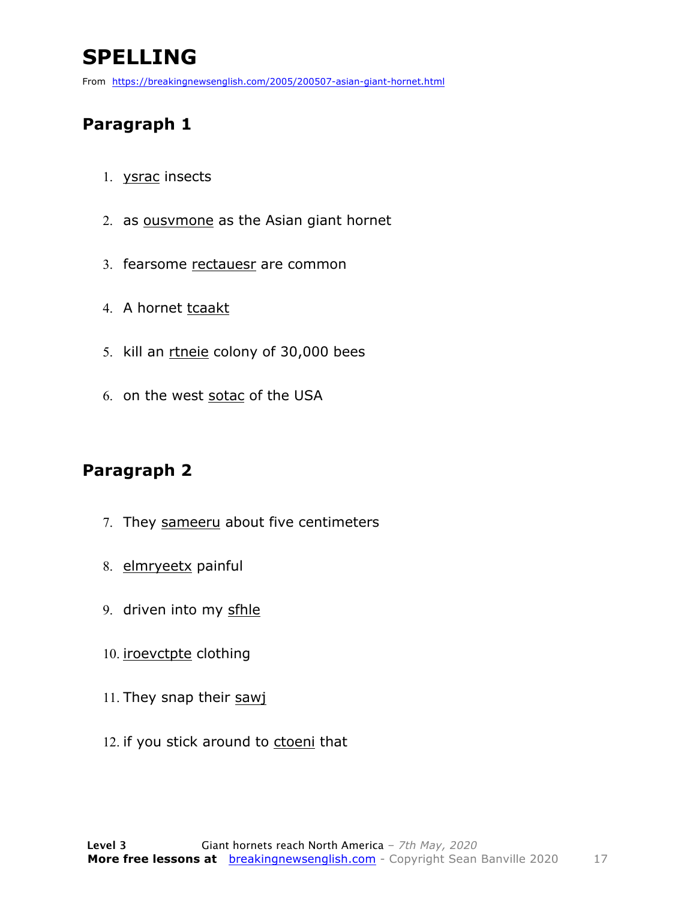### **SPELLING**

From https://breakingnewsenglish.com/2005/200507-asian-giant-hornet.html

#### **Paragraph 1**

- 1. ysrac insects
- 2. as ousvmone as the Asian giant hornet
- 3. fearsome rectauesr are common
- 4. A hornet tcaakt
- 5. kill an rtneie colony of 30,000 bees
- 6. on the west sotac of the USA

#### **Paragraph 2**

- 7. They sameeru about five centimeters
- 8. elmryeetx painful
- 9. driven into my sfhle
- 10. iroevctpte clothing
- 11. They snap their sawj
- 12. if you stick around to ctoeni that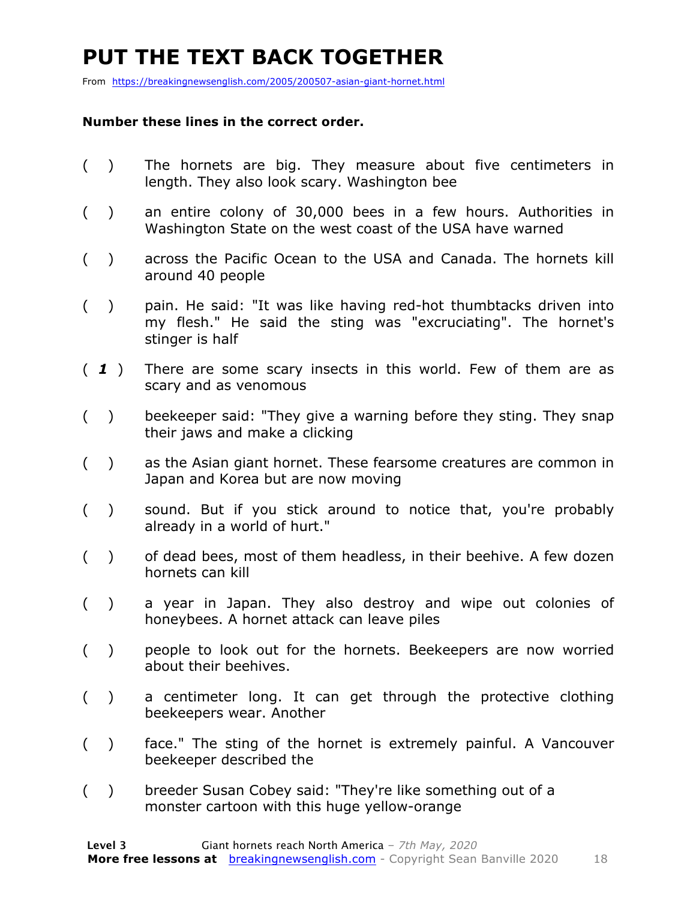### **PUT THE TEXT BACK TOGETHER**

From https://breakingnewsenglish.com/2005/200507-asian-giant-hornet.html

#### **Number these lines in the correct order.**

- ( ) The hornets are big. They measure about five centimeters in length. They also look scary. Washington bee
- ( ) an entire colony of 30,000 bees in a few hours. Authorities in Washington State on the west coast of the USA have warned
- ( ) across the Pacific Ocean to the USA and Canada. The hornets kill around 40 people
- ( ) pain. He said: "It was like having red-hot thumbtacks driven into my flesh." He said the sting was "excruciating". The hornet's stinger is half
- ( *1* ) There are some scary insects in this world. Few of them are as scary and as venomous
- ( ) beekeeper said: "They give a warning before they sting. They snap their jaws and make a clicking
- ( ) as the Asian giant hornet. These fearsome creatures are common in Japan and Korea but are now moving
- ( ) sound. But if you stick around to notice that, you're probably already in a world of hurt."
- ( ) of dead bees, most of them headless, in their beehive. A few dozen hornets can kill
- ( ) a year in Japan. They also destroy and wipe out colonies of honeybees. A hornet attack can leave piles
- ( ) people to look out for the hornets. Beekeepers are now worried about their beehives.
- ( ) a centimeter long. It can get through the protective clothing beekeepers wear. Another
- ( ) face." The sting of the hornet is extremely painful. A Vancouver beekeeper described the
- ( ) breeder Susan Cobey said: "They're like something out of a monster cartoon with this huge yellow-orange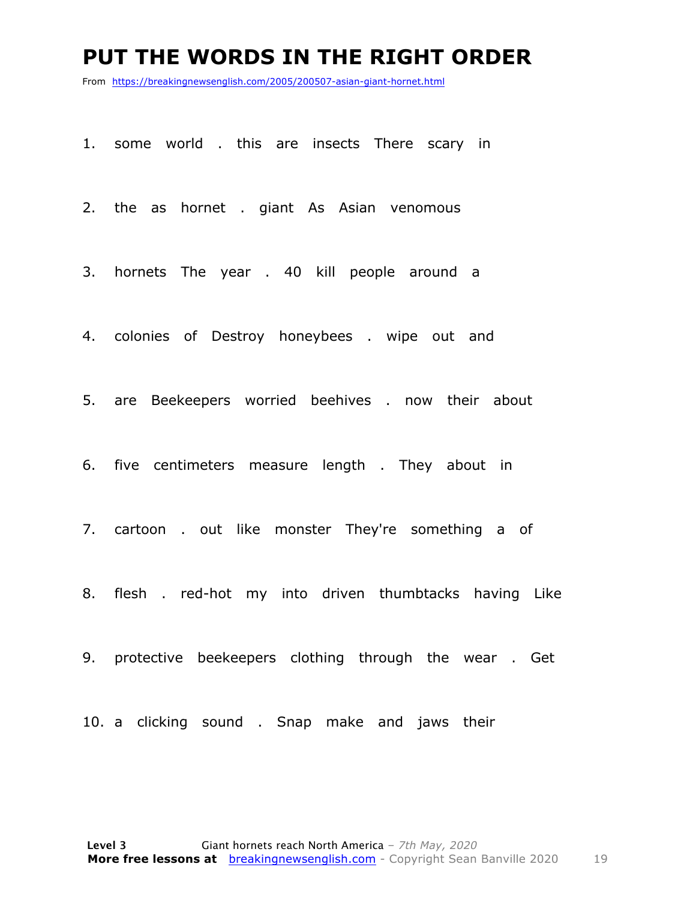#### **PUT THE WORDS IN THE RIGHT ORDER**

From https://breakingnewsenglish.com/2005/200507-asian-giant-hornet.html

1. some world . this are insects There scary in

2. the as hornet . giant As Asian venomous

3. hornets The year . 40 kill people around a

4. colonies of Destroy honeybees . wipe out and

5. are Beekeepers worried beehives . now their about

6. five centimeters measure length . They about in

7. cartoon . out like monster They're something a of

8. flesh . red-hot my into driven thumbtacks having Like

9. protective beekeepers clothing through the wear . Get

10. a clicking sound . Snap make and jaws their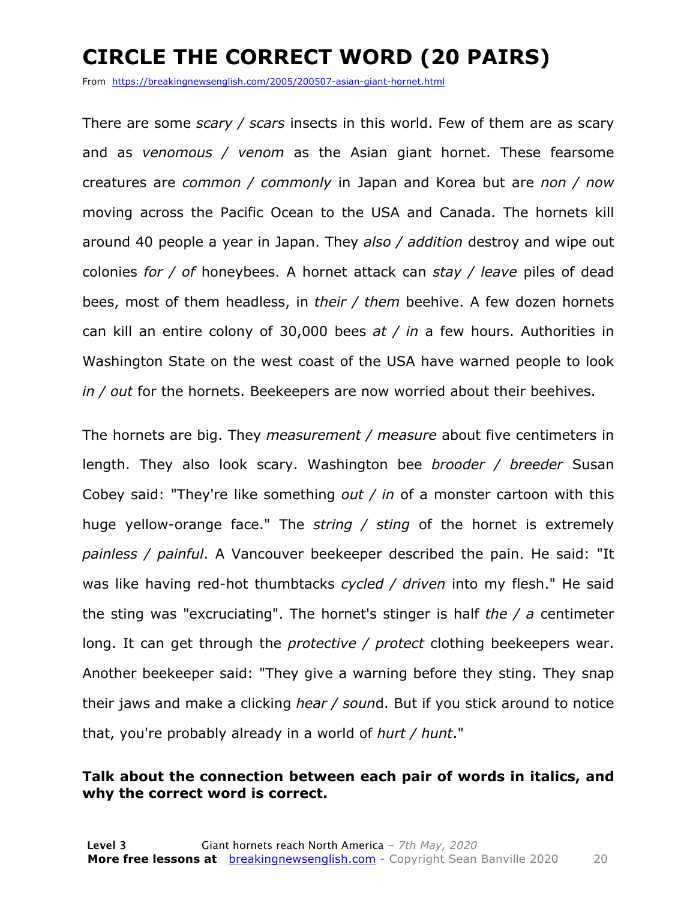### **CIRCLE THE CORRECT WORD (20 PAIRS)**

From https://breakingnewsenglish.com/2005/200507-asian-giant-hornet.html

There are some *scary / scars* insects in this world. Few of them are as scary and as *venomous / venom* as the Asian giant hornet. These fearsome creatures are *common / commonly* in Japan and Korea but are *non / now* moving across the Pacific Ocean to the USA and Canada. The hornets kill around 40 people a year in Japan. They *also / addition* destroy and wipe out colonies *for / of* honeybees. A hornet attack can *stay / leave* piles of dead bees, most of them headless, in *their / them* beehive. A few dozen hornets can kill an entire colony of 30,000 bees *at / in* a few hours. Authorities in Washington State on the west coast of the USA have warned people to look *in / out* for the hornets. Beekeepers are now worried about their beehives.

The hornets are big. They *measurement / measure* about five centimeters in length. They also look scary. Washington bee *brooder / breeder* Susan Cobey said: "They're like something *out / in* of a monster cartoon with this huge yellow-orange face." The *string / sting* of the hornet is extremely *painless / painful*. A Vancouver beekeeper described the pain. He said: "It was like having red-hot thumbtacks *cycled / driven* into my flesh." He said the sting was "excruciating". The hornet's stinger is half *the / a* centimeter long. It can get through the *protective / protect* clothing beekeepers wear. Another beekeeper said: "They give a warning before they sting. They snap their jaws and make a clicking *hear / soun*d. But if you stick around to notice that, you're probably already in a world of *hurt / hunt*."

#### **Talk about the connection between each pair of words in italics, and why the correct word is correct.**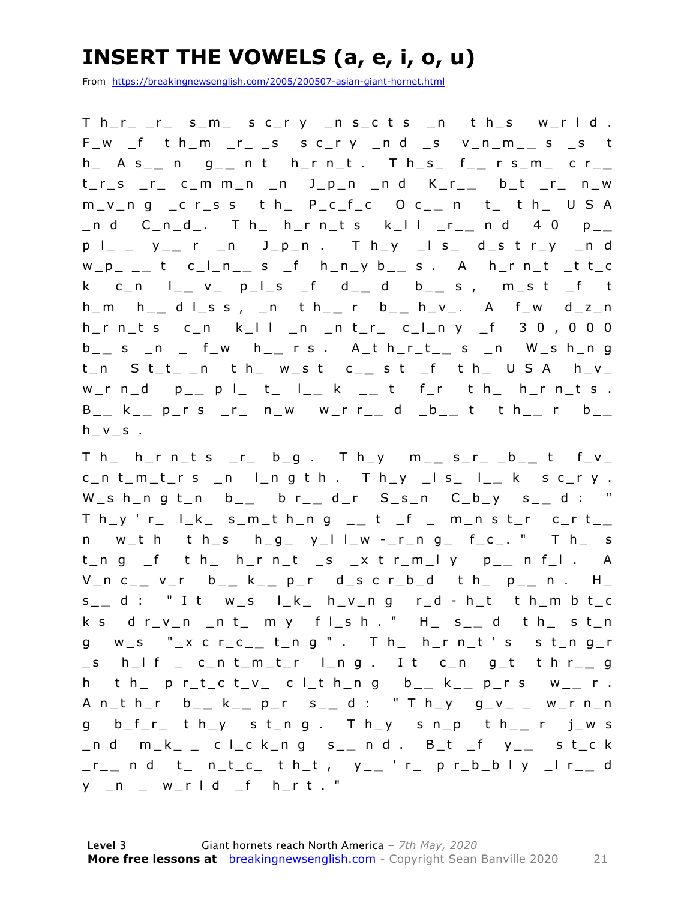### **INSERT THE VOWELS (a, e, i, o, u)**

From https://breakingnewsenglish.com/2005/200507-asian-giant-hornet.html

 $Th_r r_r r_r$  s\_m\_ sc\_ry \_ns\_cts \_n th\_s w\_rld. F\_w \_f t h\_m \_r\_ \_s s c\_r y \_n d \_s v\_n\_m\_ **\_** s \_s t h\_ A s\_ **\_** n g\_ **\_** n t h\_r n\_t . T h\_s\_ f\_ **\_** r s\_m\_ c r\_ **\_**  t\_r\_s \_r\_ c\_m m\_n \_n J\_p\_n \_n d K\_r\_ **\_** b\_t \_r\_ n\_w m\_v\_n g \_c r\_s s t h\_ P\_c\_f\_c O c\_ **\_** n t\_ t h\_ U S A \_n d C\_n\_d\_. T h\_ h\_r n\_t s k\_l l \_r\_ **\_** n d 4 0 p \_ **\_**  p l\_ \_ y\_ **\_** r \_n J\_p\_n . T h\_y \_l s\_ d\_s t r\_y \_n d w\_p\_ \_ **\_** t c\_l\_n\_ **\_** s \_f h\_n\_y b\_ **\_** s . A h\_r n\_t \_t t\_c k c\_n l\_ **\_** v\_ p\_l\_s \_f d\_ **\_** d b\_ **\_** s , m\_s t \_f t h\_m h\_ **\_** d l\_s s , \_n t h\_ **\_** r b\_ **\_** h\_v\_. A f\_w d\_z\_n h\_r n\_t s c\_n k\_l l \_n \_n t\_r\_ c\_l\_n y \_f 3 0 , 0 0 0 b \_ **\_** s \_n \_ f\_w h\_ **\_** r s . A\_t h\_r\_t\_ **\_** s \_n W\_s h\_n g t\_n S t\_t\_ \_n t h\_ w\_s t c\_ **\_** s t \_f t h\_ U S A h\_v\_ w\_r n\_d p\_ **\_** p l\_ t\_ l\_ **\_** k \_ **\_** t f\_r t h\_ h\_r n\_t s . B \_ **\_** k \_ **\_** p\_r s \_r\_ n\_w w\_r r\_ **\_** d \_b\_ **\_** t t h\_ **\_** r b\_ **\_**   $h_v_s$ .

T h\_ h\_r n\_t s \_r\_ b\_g . T h\_y m\_ **\_** s\_r\_ \_b\_ **\_** t f\_v\_ c\_n t\_m\_t\_r s \_n l\_n g t h . T h\_y \_l s\_ l\_ **\_** k s c\_r y . W\_s h\_n g t\_n b\_ **\_** b r\_ **\_** d\_r S\_s\_n C\_b\_y s\_ **\_** d : " T h\_y ' r\_ l\_k\_ s\_m\_t h\_n g \_ **\_** t \_f \_ m\_n s t\_r c\_r t\_ **\_**  n w\_t h t h\_s  $h_g$ \_ y\_l l\_w -\_r\_n g\_ f\_c\_. " T h\_ s t\_n g \_f t h\_ h\_r n\_t \_s \_x t r\_m\_l y p\_ **\_** n f\_l . A V\_n c\_ **\_** v\_r b\_ **\_** k \_ **\_** p\_r d\_s c r\_b\_d t h\_ p\_ **\_** n . H\_ s \_ **\_** d : " I t w\_s l\_k\_ h\_v\_n g r\_d - h\_t t h\_m b t\_c k s d r\_v\_n \_n t\_ m y f l\_s h . " H\_ s\_ **\_** d t h\_ s t\_n g w\_s "\_x c r\_c\_ **\_** t\_n g " . T h\_ h\_r n\_t ' s s t\_n g\_r \_s h\_l f \_ c\_n t\_m\_t\_r l\_n g . I t c\_n g\_t t h r\_ **\_** g h t h\_ p r\_t\_c t\_v\_ c l\_t h\_n g b\_ **\_** k \_ **\_** p\_r s w\_ **\_** r . A n\_t h\_r b\_ **\_** k \_ **\_** p\_r s\_ **\_** d : " T h\_y g\_v\_ \_ w\_r n\_n g b\_f\_r\_ t h\_y s t\_n g . T h\_y s n\_p t h\_ **\_** r j\_w s \_n d m\_k\_ \_ c l\_c k\_n g s\_ **\_** n d . B\_t \_f y\_ **\_** s t\_c k \_r\_ **\_** n d t\_ n\_t\_c\_ t h\_t , y\_ **\_** ' r\_ p r\_b\_b l y \_l r\_ **\_** d y \_n \_ w\_r l d \_f h\_r t . "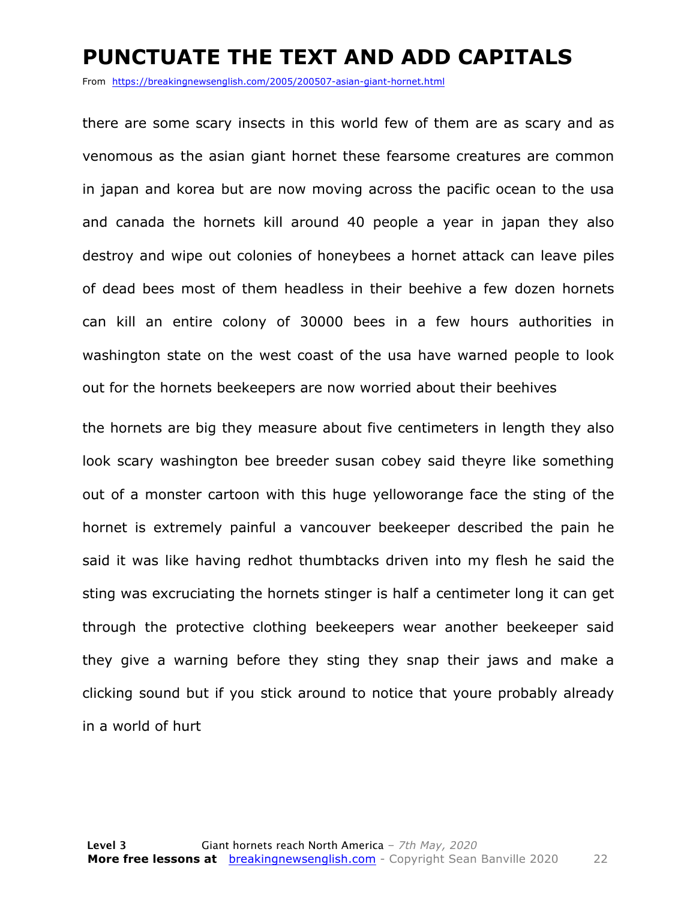#### **PUNCTUATE THE TEXT AND ADD CAPITALS**

From https://breakingnewsenglish.com/2005/200507-asian-giant-hornet.html

there are some scary insects in this world few of them are as scary and as venomous as the asian giant hornet these fearsome creatures are common in japan and korea but are now moving across the pacific ocean to the usa and canada the hornets kill around 40 people a year in japan they also destroy and wipe out colonies of honeybees a hornet attack can leave piles of dead bees most of them headless in their beehive a few dozen hornets can kill an entire colony of 30000 bees in a few hours authorities in washington state on the west coast of the usa have warned people to look out for the hornets beekeepers are now worried about their beehives

the hornets are big they measure about five centimeters in length they also look scary washington bee breeder susan cobey said theyre like something out of a monster cartoon with this huge yelloworange face the sting of the hornet is extremely painful a vancouver beekeeper described the pain he said it was like having redhot thumbtacks driven into my flesh he said the sting was excruciating the hornets stinger is half a centimeter long it can get through the protective clothing beekeepers wear another beekeeper said they give a warning before they sting they snap their jaws and make a clicking sound but if you stick around to notice that youre probably already in a world of hurt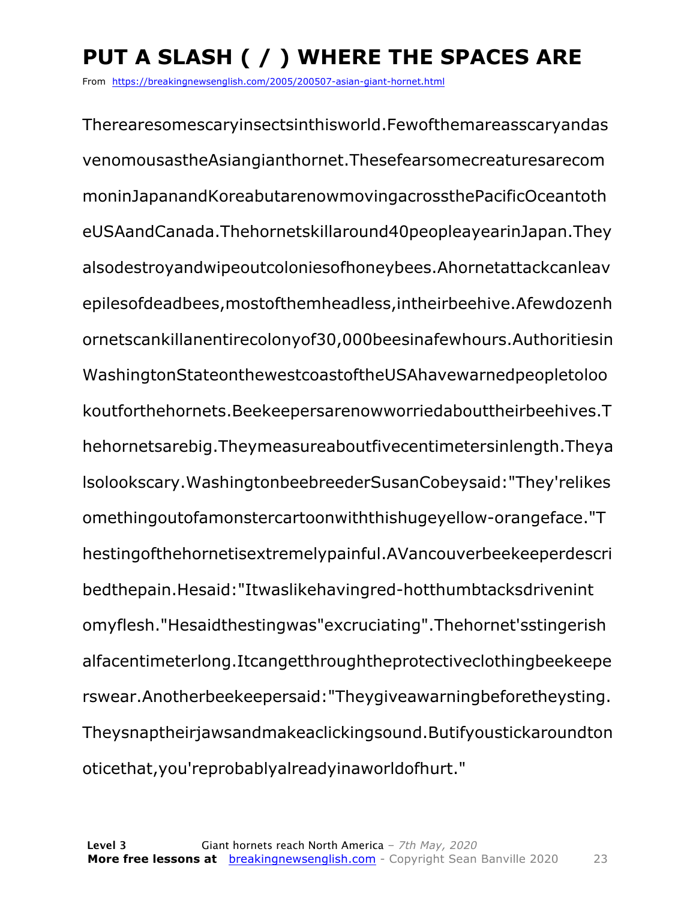### **PUT A SLASH ( / ) WHERE THE SPACES ARE**

From https://breakingnewsenglish.com/2005/200507-asian-giant-hornet.html

Therearesomescaryinsectsinthisworld.Fewofthemareasscaryandas venomousastheAsiangianthornet.Thesefearsomecreaturesarecom moninJapanandKoreabutarenowmovingacrossthePacificOceantoth eUSAandCanada.Thehornetskillaround40peopleayearinJapan.They alsodestroyandwipeoutcoloniesofhoneybees.Ahornetattackcanleav epilesofdeadbees,mostofthemheadless,intheirbeehive.Afewdozenh ornetscankillanentirecolonyof30,000beesinafewhours.Authoritiesin WashingtonStateonthewestcoastoftheUSAhavewarnedpeopletoloo koutforthehornets.Beekeepersarenowworriedabouttheirbeehives.T hehornetsarebig.Theymeasureaboutfivecentimetersinlength.Theya lsolookscary.WashingtonbeebreederSusanCobeysaid:"They'relikes omethingoutofamonstercartoonwiththishugeyellow-orangeface."T hestingofthehornetisextremelypainful.AVancouverbeekeeperdescri bedthepain.Hesaid:"Itwaslikehavingred-hotthumbtacksdrivenint omyflesh."Hesaidthestingwas"excruciating".Thehornet'sstingerish alfacentimeterlong.Itcangetthroughtheprotectiveclothingbeekeepe rswear.Anotherbeekeepersaid:"Theygiveawarningbeforetheysting. Theysnaptheirjawsandmakeaclickingsound.Butifyoustickaroundton oticethat,you'reprobablyalreadyinaworldofhurt."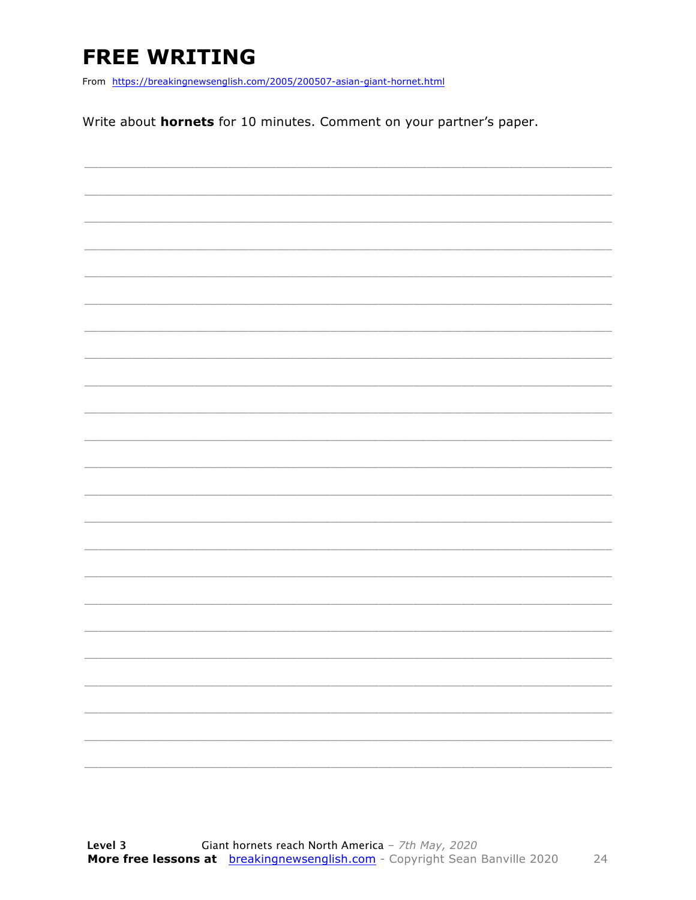### **FREE WRITING**

From https://breakingnewsenglish.com/2005/200507-asian-giant-hornet.html

Write about hornets for 10 minutes. Comment on your partner's paper.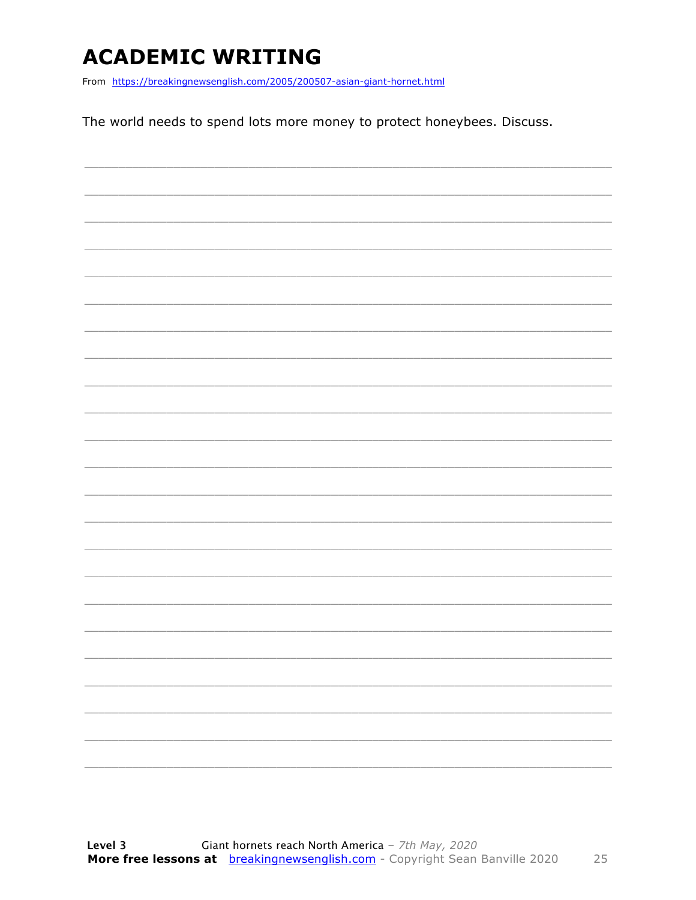### **ACADEMIC WRITING**

From https://breakingnewsenglish.com/2005/200507-asian-giant-hornet.html

The world needs to spend lots more money to protect honeybees. Discuss.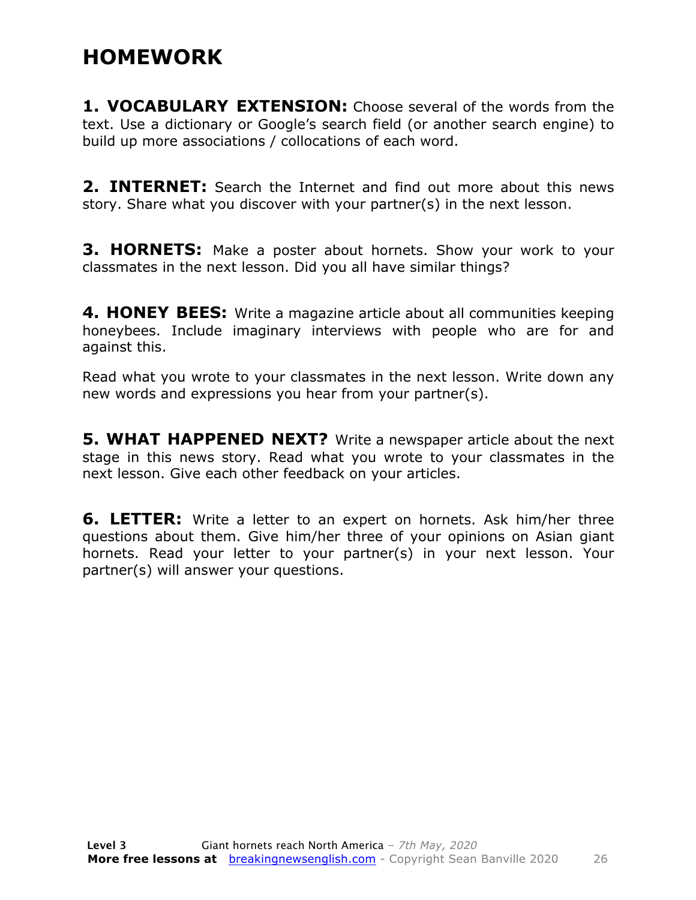#### **HOMEWORK**

**1. VOCABULARY EXTENSION:** Choose several of the words from the text. Use a dictionary or Google's search field (or another search engine) to build up more associations / collocations of each word.

**2. INTERNET:** Search the Internet and find out more about this news story. Share what you discover with your partner(s) in the next lesson.

**3. HORNETS:** Make a poster about hornets. Show your work to your classmates in the next lesson. Did you all have similar things?

**4. HONEY BEES:** Write a magazine article about all communities keeping honeybees. Include imaginary interviews with people who are for and against this.

Read what you wrote to your classmates in the next lesson. Write down any new words and expressions you hear from your partner(s).

**5. WHAT HAPPENED NEXT?** Write a newspaper article about the next stage in this news story. Read what you wrote to your classmates in the next lesson. Give each other feedback on your articles.

**6. LETTER:** Write a letter to an expert on hornets. Ask him/her three questions about them. Give him/her three of your opinions on Asian giant hornets. Read your letter to your partner(s) in your next lesson. Your partner(s) will answer your questions.